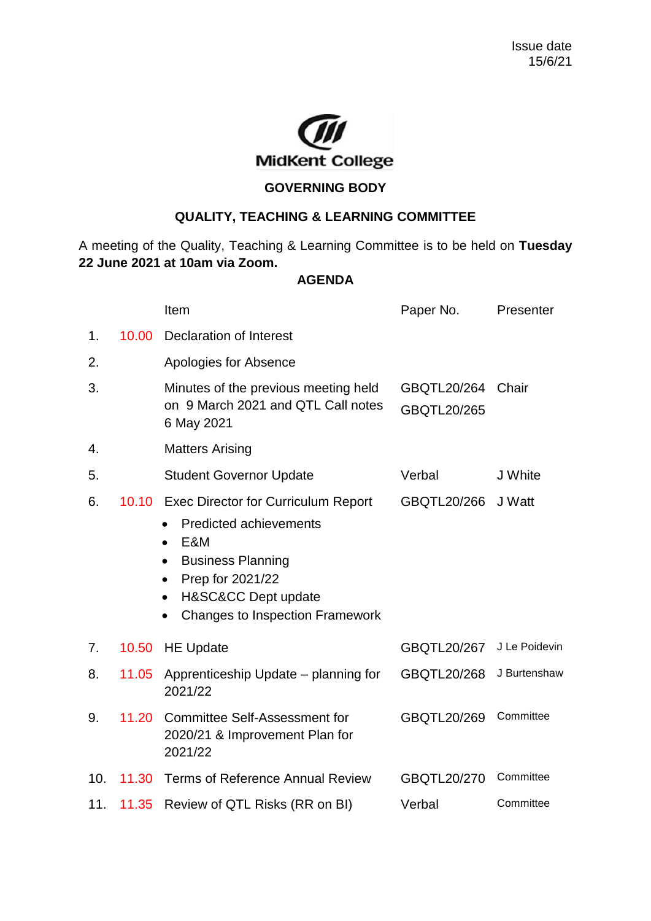

## **GOVERNING BODY**

## **QUALITY, TEACHING & LEARNING COMMITTEE**

A meeting of the Quality, Teaching & Learning Committee is to be held on **Tuesday 22 June 2021 at 10am via Zoom.**

## **AGENDA**

|     |       | Item                                                                                                                                                                                                                                                    | Paper No.                         | Presenter     |
|-----|-------|---------------------------------------------------------------------------------------------------------------------------------------------------------------------------------------------------------------------------------------------------------|-----------------------------------|---------------|
| 1.  | 10.00 | Declaration of Interest                                                                                                                                                                                                                                 |                                   |               |
| 2.  |       | Apologies for Absence                                                                                                                                                                                                                                   |                                   |               |
| 3.  |       | Minutes of the previous meeting held<br>on 9 March 2021 and QTL Call notes<br>6 May 2021                                                                                                                                                                | GBQTL20/264<br><b>GBQTL20/265</b> | Chair         |
| 4.  |       | <b>Matters Arising</b>                                                                                                                                                                                                                                  |                                   |               |
| 5.  |       | <b>Student Governor Update</b>                                                                                                                                                                                                                          | Verbal                            | J White       |
| 6.  | 10.10 | <b>Exec Director for Curriculum Report</b><br><b>Predicted achievements</b><br>E&M<br>$\bullet$<br><b>Business Planning</b><br>$\bullet$<br>Prep for 2021/22<br>$\bullet$<br>H&SC&CC Dept update<br>$\bullet$<br><b>Changes to Inspection Framework</b> | GBQTL20/266                       | J Watt        |
| 7.  | 10.50 | <b>HE Update</b>                                                                                                                                                                                                                                        | GBQTL20/267                       | J Le Poidevin |
| 8.  | 11.05 | Apprenticeship Update – planning for<br>2021/22                                                                                                                                                                                                         | GBQTL20/268                       | J Burtenshaw  |
| 9.  | 11.20 | <b>Committee Self-Assessment for</b><br>2020/21 & Improvement Plan for<br>2021/22                                                                                                                                                                       | GBQTL20/269                       | Committee     |
| 10. | 11.30 | <b>Terms of Reference Annual Review</b>                                                                                                                                                                                                                 | GBQTL20/270                       | Committee     |
| 11. | 11.35 | Review of QTL Risks (RR on BI)                                                                                                                                                                                                                          | Verbal                            | Committee     |